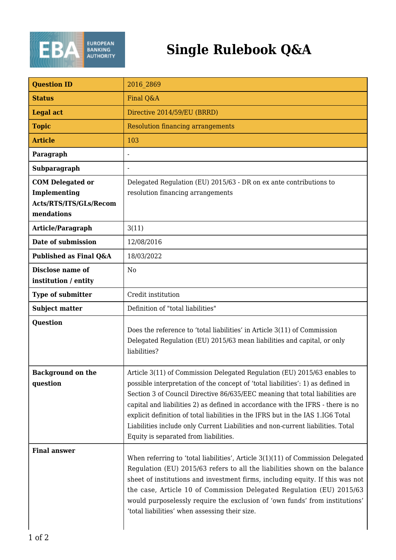

## **Single Rulebook Q&A**

| <b>Question ID</b>                                                              | 2016 2869                                                                                                                                                                                                                                                                                                                                                                                                                                                                                                                                     |
|---------------------------------------------------------------------------------|-----------------------------------------------------------------------------------------------------------------------------------------------------------------------------------------------------------------------------------------------------------------------------------------------------------------------------------------------------------------------------------------------------------------------------------------------------------------------------------------------------------------------------------------------|
| <b>Status</b>                                                                   | Final Q&A                                                                                                                                                                                                                                                                                                                                                                                                                                                                                                                                     |
| <b>Legal act</b>                                                                | Directive 2014/59/EU (BRRD)                                                                                                                                                                                                                                                                                                                                                                                                                                                                                                                   |
| <b>Topic</b>                                                                    | <b>Resolution financing arrangements</b>                                                                                                                                                                                                                                                                                                                                                                                                                                                                                                      |
| <b>Article</b>                                                                  | 103                                                                                                                                                                                                                                                                                                                                                                                                                                                                                                                                           |
| Paragraph                                                                       | $\blacksquare$                                                                                                                                                                                                                                                                                                                                                                                                                                                                                                                                |
| Subparagraph                                                                    |                                                                                                                                                                                                                                                                                                                                                                                                                                                                                                                                               |
| <b>COM Delegated or</b><br>Implementing<br>Acts/RTS/ITS/GLs/Recom<br>mendations | Delegated Regulation (EU) 2015/63 - DR on ex ante contributions to<br>resolution financing arrangements                                                                                                                                                                                                                                                                                                                                                                                                                                       |
| Article/Paragraph                                                               | 3(11)                                                                                                                                                                                                                                                                                                                                                                                                                                                                                                                                         |
| Date of submission                                                              | 12/08/2016                                                                                                                                                                                                                                                                                                                                                                                                                                                                                                                                    |
| Published as Final Q&A                                                          | 18/03/2022                                                                                                                                                                                                                                                                                                                                                                                                                                                                                                                                    |
| <b>Disclose name of</b><br>institution / entity                                 | N <sub>0</sub>                                                                                                                                                                                                                                                                                                                                                                                                                                                                                                                                |
| <b>Type of submitter</b>                                                        | Credit institution                                                                                                                                                                                                                                                                                                                                                                                                                                                                                                                            |
| <b>Subject matter</b>                                                           | Definition of "total liabilities"                                                                                                                                                                                                                                                                                                                                                                                                                                                                                                             |
| Question                                                                        | Does the reference to 'total liabilities' in Article 3(11) of Commission<br>Delegated Regulation (EU) 2015/63 mean liabilities and capital, or only<br>liabilities?                                                                                                                                                                                                                                                                                                                                                                           |
| <b>Background on the</b><br>question                                            | Article 3(11) of Commission Delegated Regulation (EU) 2015/63 enables to<br>possible interpretation of the concept of 'total liabilities': 1) as defined in<br>Section 3 of Council Directive 86/635/EEC meaning that total liabilities are<br>capital and liabilities 2) as defined in accordance with the IFRS - there is no<br>explicit definition of total liabilities in the IFRS but in the IAS 1.IG6 Total<br>Liabilities include only Current Liabilities and non-current liabilities. Total<br>Equity is separated from liabilities. |
| <b>Final answer</b>                                                             | When referring to 'total liabilities', Article $3(1)(11)$ of Commission Delegated<br>Regulation (EU) 2015/63 refers to all the liabilities shown on the balance<br>sheet of institutions and investment firms, including equity. If this was not<br>the case, Article 10 of Commission Delegated Regulation (EU) 2015/63<br>would purposelessly require the exclusion of 'own funds' from institutions'<br>'total liabilities' when assessing their size.                                                                                     |